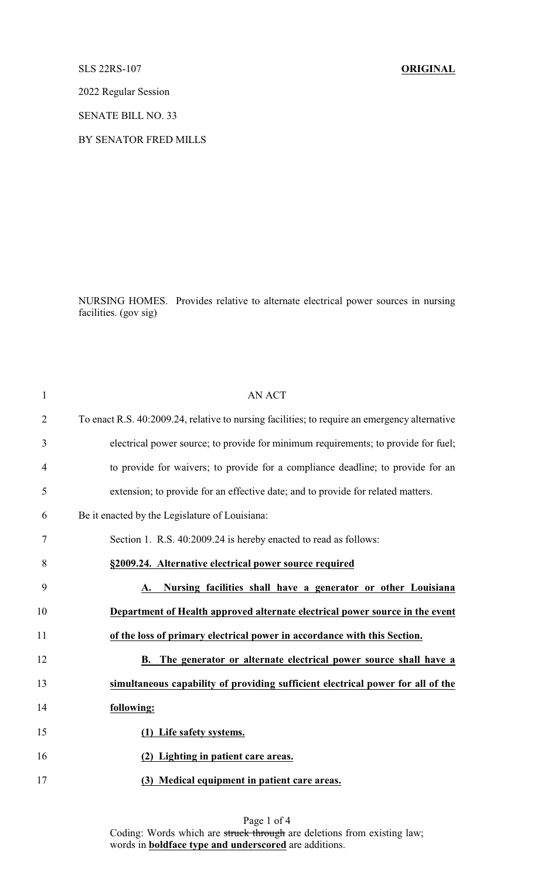## SLS 22RS-107 **ORIGINAL**

2022 Regular Session

SENATE BILL NO. 33

## BY SENATOR FRED MILLS

NURSING HOMES. Provides relative to alternate electrical power sources in nursing facilities. (gov sig)

| $\mathbf{1}$   | <b>AN ACT</b>                                                                                 |
|----------------|-----------------------------------------------------------------------------------------------|
| $\overline{2}$ | To enact R.S. 40:2009.24, relative to nursing facilities; to require an emergency alternative |
| 3              | electrical power source; to provide for minimum requirements; to provide for fuel;            |
| $\overline{4}$ | to provide for waivers; to provide for a compliance deadline; to provide for an               |
| 5              | extension; to provide for an effective date; and to provide for related matters.              |
| 6              | Be it enacted by the Legislature of Louisiana:                                                |
| 7              | Section 1. R.S. 40:2009.24 is hereby enacted to read as follows:                              |
| 8              | §2009.24. Alternative electrical power source required                                        |
| 9              | Nursing facilities shall have a generator or other Louisiana                                  |
| 10             | Department of Health approved alternate electrical power source in the event                  |
| 11             | of the loss of primary electrical power in accordance with this Section.                      |
| 12             | B. The generator or alternate electrical power source shall have a                            |
| 13             | simultaneous capability of providing sufficient electrical power for all of the               |
| 14             | following:                                                                                    |
| 15             | (1) Life safety systems.                                                                      |
| 16             | (2) Lighting in patient care areas.                                                           |
| 17             | (3) Medical equipment in patient care areas.                                                  |
|                |                                                                                               |

Page 1 of 4 Coding: Words which are struck through are deletions from existing law; words in **boldface type and underscored** are additions.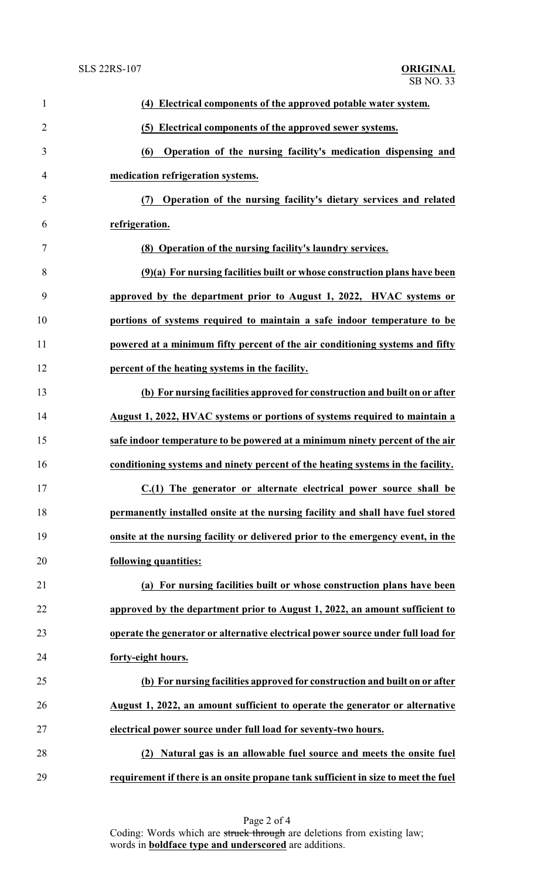| $\mathbf{1}$   | (4) Electrical components of the approved potable water system.                    |
|----------------|------------------------------------------------------------------------------------|
| $\overline{2}$ | (5) Electrical components of the approved sewer systems.                           |
| 3              | Operation of the nursing facility's medication dispensing and<br>(6)               |
| 4              | medication refrigeration systems.                                                  |
| 5              | (7) Operation of the nursing facility's dietary services and related               |
| 6              | refrigeration.                                                                     |
| $\tau$         | (8) Operation of the nursing facility's laundry services.                          |
| 8              | $(9)(a)$ For nursing facilities built or whose construction plans have been        |
| 9              | approved by the department prior to August 1, 2022, HVAC systems or                |
| 10             | portions of systems required to maintain a safe indoor temperature to be           |
| 11             | powered at a minimum fifty percent of the air conditioning systems and fifty       |
| 12             | percent of the heating systems in the facility.                                    |
| 13             | (b) For nursing facilities approved for construction and built on or after         |
| 14             | August 1, 2022, HVAC systems or portions of systems required to maintain a         |
| 15             | safe indoor temperature to be powered at a minimum ninety percent of the air       |
| 16             | conditioning systems and ninety percent of the heating systems in the facility.    |
| 17             | C.(1) The generator or alternate electrical power source shall be                  |
| 18             | permanently installed onsite at the nursing facility and shall have fuel stored    |
| 19             | onsite at the nursing facility or delivered prior to the emergency event, in the   |
| 20             | following quantities:                                                              |
| 21             | (a) For nursing facilities built or whose construction plans have been             |
| 22             | approved by the department prior to August 1, 2022, an amount sufficient to        |
| 23             | operate the generator or alternative electrical power source under full load for   |
| 24             | forty-eight hours.                                                                 |
| 25             | (b) For nursing facilities approved for construction and built on or after         |
| 26             | August 1, 2022, an amount sufficient to operate the generator or alternative       |
| 27             | electrical power source under full load for seventy-two hours.                     |
| 28             | Natural gas is an allowable fuel source and meets the onsite fuel<br>(2)           |
| 29             | requirement if there is an onsite propane tank sufficient in size to meet the fuel |

Page 2 of 4 Coding: Words which are struck through are deletions from existing law; words in **boldface type and underscored** are additions.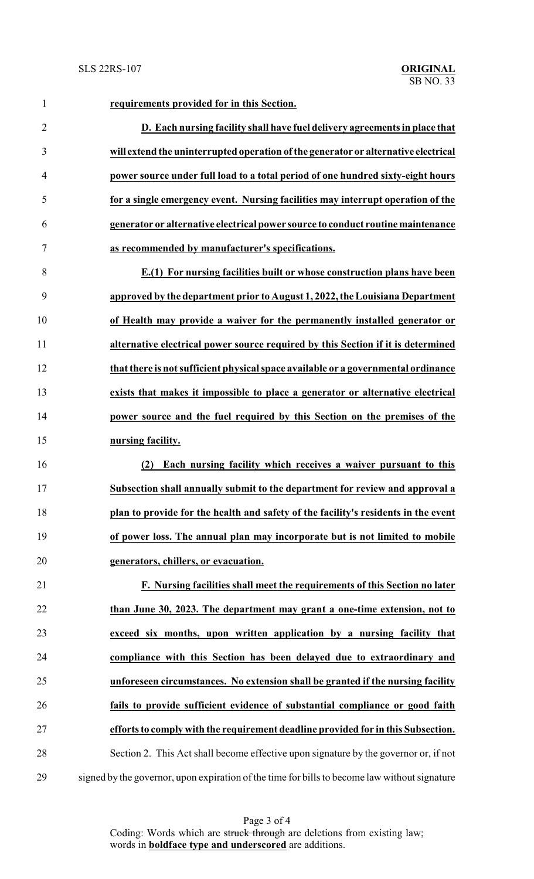**requirements provided for in this Section. D. Each nursing facility shall have fuel delivery agreements in place that will extend the uninterrupted operation ofthe generator or alternative electrical power source under full load to a total period of one hundred sixty-eight hours for a single emergency event. Nursing facilities may interrupt operation of the generator or alternative electrical power source to conduct routinemaintenance as recommended by manufacturer's specifications. E.(1) For nursing facilities built or whose construction plans have been approved by the department prior to August 1, 2022, the Louisiana Department of Health may provide a waiver for the permanently installed generator or alternative electrical power source required by this Section if it is determined that there is not sufficient physical space available or a governmental ordinance exists that makes it impossible to place a generator or alternative electrical power source and the fuel required by this Section on the premises of the nursing facility. (2) Each nursing facility which receives a waiver pursuant to this Subsection shall annually submit to the department for review and approval a plan to provide for the health and safety of the facility's residents in the event of power loss. The annual plan may incorporate but is not limited to mobile generators, chillers, or evacuation. F. Nursing facilities shall meet the requirements of this Section no later than June 30, 2023. The department may grant a one-time extension, not to exceed six months, upon written application by a nursing facility that compliance with this Section has been delayed due to extraordinary and unforeseen circumstances. No extension shall be granted if the nursing facility fails to provide sufficient evidence of substantial compliance or good faith efforts to comply with the requirement deadline provided for in this Subsection.**

 Section 2. This Act shall become effective upon signature by the governor or, if not signed by the governor, upon expiration of the time for bills to become law without signature

> Page 3 of 4 Coding: Words which are struck through are deletions from existing law; words in **boldface type and underscored** are additions.